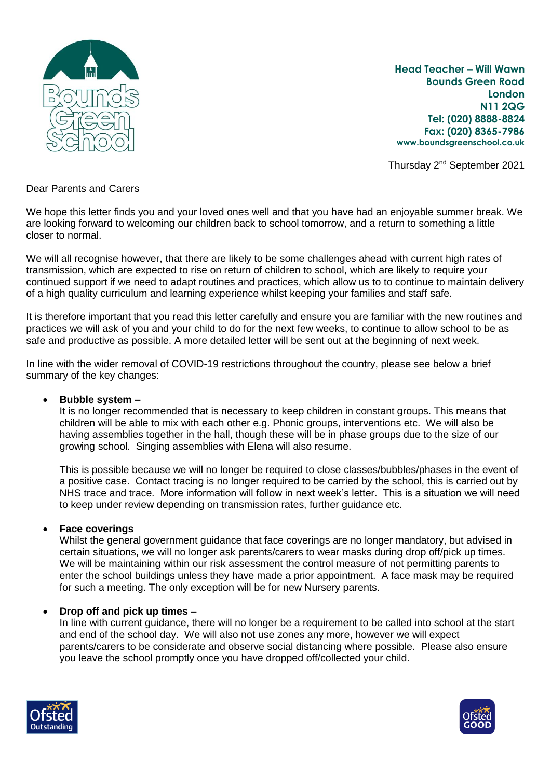

**Head Teacher – Will Wawn Bounds Green Road London N11 2QG Tel: (020) 8888-8824 Fax: (020) 8365-7986 www.boundsgreenschool.co.uk**

Thursday 2nd September 2021

Dear Parents and Carers

We hope this letter finds you and your loved ones well and that you have had an enjoyable summer break. We are looking forward to welcoming our children back to school tomorrow, and a return to something a little closer to normal.

We will all recognise however, that there are likely to be some challenges ahead with current high rates of transmission, which are expected to rise on return of children to school, which are likely to require your continued support if we need to adapt routines and practices, which allow us to to continue to maintain delivery of a high quality curriculum and learning experience whilst keeping your families and staff safe.

It is therefore important that you read this letter carefully and ensure you are familiar with the new routines and practices we will ask of you and your child to do for the next few weeks, to continue to allow school to be as safe and productive as possible. A more detailed letter will be sent out at the beginning of next week.

In line with the wider removal of COVID-19 restrictions throughout the country, please see below a brief summary of the key changes:

## **Bubble system –**

It is no longer recommended that is necessary to keep children in constant groups. This means that children will be able to mix with each other e.g. Phonic groups, interventions etc. We will also be having assemblies together in the hall, though these will be in phase groups due to the size of our growing school. Singing assemblies with Elena will also resume.

This is possible because we will no longer be required to close classes/bubbles/phases in the event of a positive case. Contact tracing is no longer required to be carried by the school, this is carried out by NHS trace and trace. More information will follow in next week's letter. This is a situation we will need to keep under review depending on transmission rates, further guidance etc.

## **Face coverings**

Whilst the general government guidance that face coverings are no longer mandatory, but advised in certain situations, we will no longer ask parents/carers to wear masks during drop off/pick up times. We will be maintaining within our risk assessment the control measure of not permitting parents to enter the school buildings unless they have made a prior appointment. A face mask may be required for such a meeting. The only exception will be for new Nursery parents.

## **Drop off and pick up times –**

In line with current guidance, there will no longer be a requirement to be called into school at the start and end of the school day. We will also not use zones any more, however we will expect parents/carers to be considerate and observe social distancing where possible. Please also ensure you leave the school promptly once you have dropped off/collected your child.